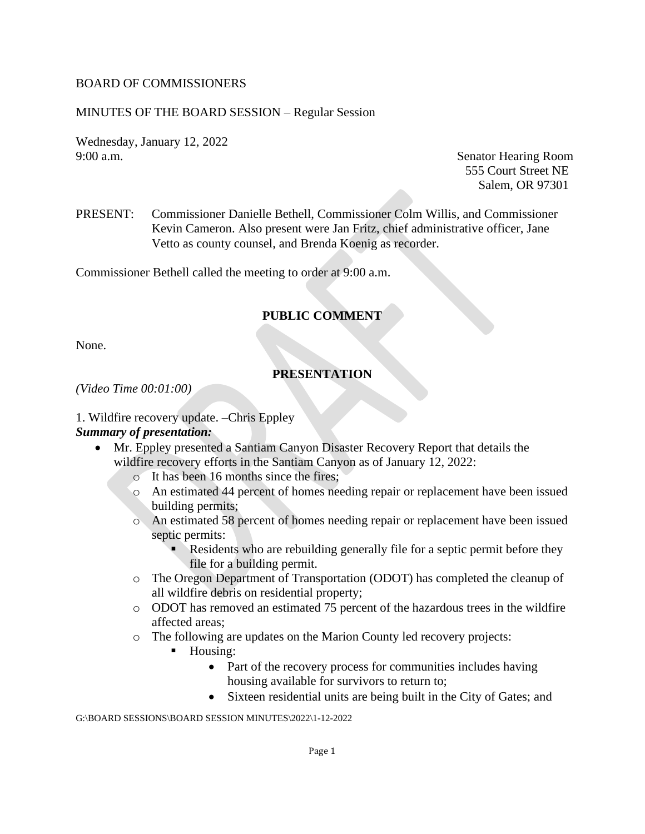#### BOARD OF COMMISSIONERS

#### MINUTES OF THE BOARD SESSION – Regular Session

Wednesday, January 12, 2022 9:00 a.m. Senator Hearing Room

555 Court Street NE Salem, OR 97301

PRESENT: Commissioner Danielle Bethell, Commissioner Colm Willis, and Commissioner Kevin Cameron. Also present were Jan Fritz, chief administrative officer, Jane Vetto as county counsel, and Brenda Koenig as recorder.

Commissioner Bethell called the meeting to order at 9:00 a.m.

#### **PUBLIC COMMENT**

None.

#### **PRESENTATION**

#### *(Video Time 00:01:00)*

1. Wildfire recovery update. –Chris Eppley *Summary of presentation:* 

- Mr. Eppley presented a Santiam Canyon Disaster Recovery Report that details the wildfire recovery efforts in the Santiam Canyon as of January 12, 2022:
	- o It has been 16 months since the fires;
	- o An estimated 44 percent of homes needing repair or replacement have been issued building permits;
	- o An estimated 58 percent of homes needing repair or replacement have been issued septic permits:
		- Residents who are rebuilding generally file for a septic permit before they file for a building permit.
	- o The Oregon Department of Transportation (ODOT) has completed the cleanup of all wildfire debris on residential property;
	- o ODOT has removed an estimated 75 percent of the hazardous trees in the wildfire affected areas;
	- o The following are updates on the Marion County led recovery projects:
		- Housing:
			- Part of the recovery process for communities includes having housing available for survivors to return to;
			- Sixteen residential units are being built in the City of Gates; and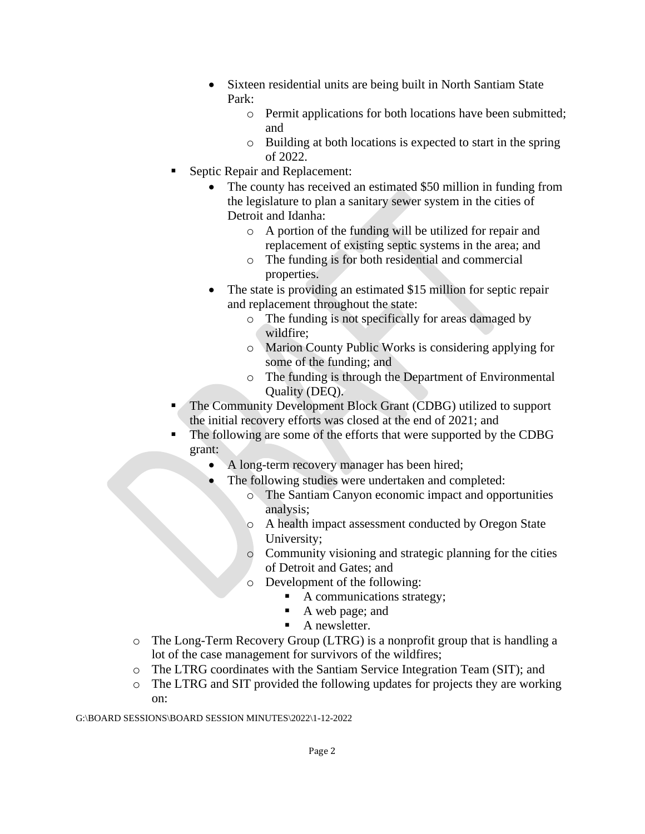- Sixteen residential units are being built in North Santiam State Park:
	- o Permit applications for both locations have been submitted; and
	- o Building at both locations is expected to start in the spring of 2022.
- **Septic Repair and Replacement:** 
	- The county has received an estimated \$50 million in funding from the legislature to plan a sanitary sewer system in the cities of Detroit and Idanha:
		- o A portion of the funding will be utilized for repair and replacement of existing septic systems in the area; and
		- o The funding is for both residential and commercial properties.
	- The state is providing an estimated \$15 million for septic repair and replacement throughout the state:
		- o The funding is not specifically for areas damaged by wildfire;
		- o Marion County Public Works is considering applying for some of the funding; and
		- o The funding is through the Department of Environmental Quality (DEQ).
- The Community Development Block Grant (CDBG) utilized to support the initial recovery efforts was closed at the end of 2021; and
- The following are some of the efforts that were supported by the CDBG grant:
	- A long-term recovery manager has been hired;
		- The following studies were undertaken and completed:
			- o The Santiam Canyon economic impact and opportunities analysis;
			- o A health impact assessment conducted by Oregon State University;
			- o Community visioning and strategic planning for the cities of Detroit and Gates; and
			- o Development of the following:
				- A communications strategy;
				- A web page; and
				- $\blacksquare$  A new sletter.
- o The Long-Term Recovery Group (LTRG) is a nonprofit group that is handling a lot of the case management for survivors of the wildfires;
- o The LTRG coordinates with the Santiam Service Integration Team (SIT); and
- o The LTRG and SIT provided the following updates for projects they are working on: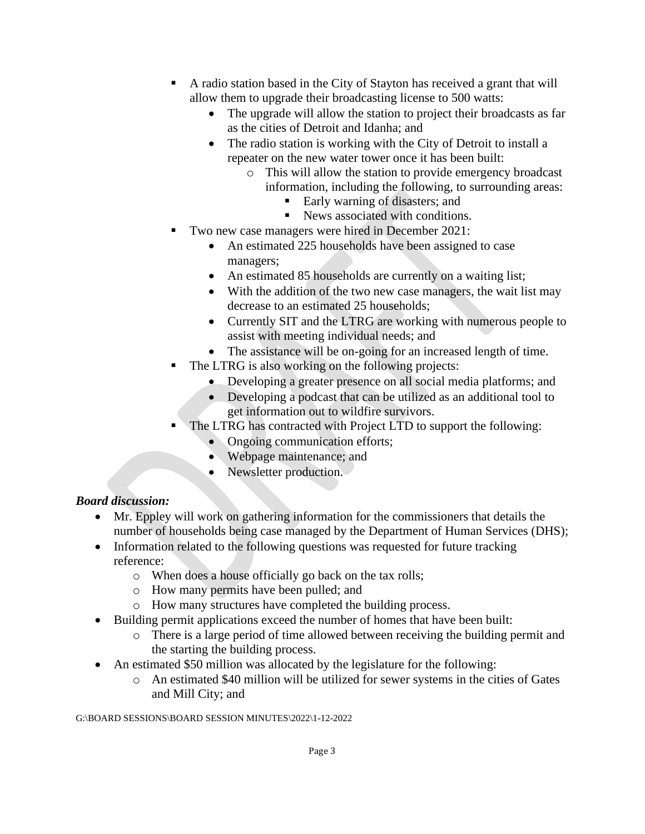- A radio station based in the City of Stayton has received a grant that will allow them to upgrade their broadcasting license to 500 watts:
	- The upgrade will allow the station to project their broadcasts as far as the cities of Detroit and Idanha; and
	- The radio station is working with the City of Detroit to install a repeater on the new water tower once it has been built:
		- o This will allow the station to provide emergency broadcast information, including the following, to surrounding areas:
			- Early warning of disasters; and
			- News associated with conditions.
- Two new case managers were hired in December 2021:
	- An estimated 225 households have been assigned to case managers;
	- An estimated 85 households are currently on a waiting list;
	- With the addition of the two new case managers, the wait list may decrease to an estimated 25 households;
	- Currently SIT and the LTRG are working with numerous people to assist with meeting individual needs; and
	- The assistance will be on-going for an increased length of time.
- The LTRG is also working on the following projects:
	- Developing a greater presence on all social media platforms; and
	- Developing a podcast that can be utilized as an additional tool to get information out to wildfire survivors.
- The LTRG has contracted with Project LTD to support the following:
	- Ongoing communication efforts;
	- Webpage maintenance; and
	- Newsletter production.

- Mr. Eppley will work on gathering information for the commissioners that details the number of households being case managed by the Department of Human Services (DHS);
- Information related to the following questions was requested for future tracking reference:
	- o When does a house officially go back on the tax rolls;
	- o How many permits have been pulled; and
	- o How many structures have completed the building process.
- Building permit applications exceed the number of homes that have been built:
	- o There is a large period of time allowed between receiving the building permit and the starting the building process.
- An estimated \$50 million was allocated by the legislature for the following:
	- o An estimated \$40 million will be utilized for sewer systems in the cities of Gates and Mill City; and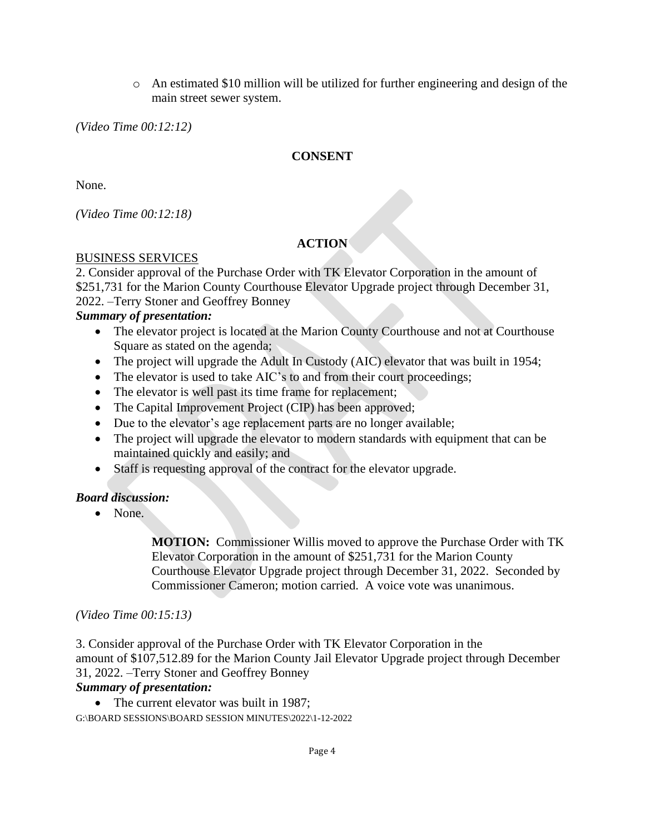$\circ$  An estimated \$10 million will be utilized for further engineering and design of the main street sewer system.

*(Video Time 00:12:12)*

# **CONSENT**

None.

*(Video Time 00:12:18)*

# **ACTION**

#### BUSINESS SERVICES

2. Consider approval of the Purchase Order with TK Elevator Corporation in the amount of \$251,731 for the Marion County Courthouse Elevator Upgrade project through December 31, 2022. –Terry Stoner and Geoffrey Bonney

# *Summary of presentation:*

- The elevator project is located at the Marion County Courthouse and not at Courthouse Square as stated on the agenda;
- The project will upgrade the Adult In Custody (AIC) elevator that was built in 1954;
- The elevator is used to take AIC's to and from their court proceedings;
- The elevator is well past its time frame for replacement;
- The Capital Improvement Project (CIP) has been approved;
- Due to the elevator's age replacement parts are no longer available;
- The project will upgrade the elevator to modern standards with equipment that can be maintained quickly and easily; and
- Staff is requesting approval of the contract for the elevator upgrade.

#### *Board discussion:*

• None.

**MOTION:** Commissioner Willis moved to approve the Purchase Order with TK Elevator Corporation in the amount of \$251,731 for the Marion County Courthouse Elevator Upgrade project through December 31, 2022. Seconded by Commissioner Cameron; motion carried. A voice vote was unanimous.

#### *(Video Time 00:15:13)*

3. Consider approval of the Purchase Order with TK Elevator Corporation in the amount of \$107,512.89 for the Marion County Jail Elevator Upgrade project through December 31, 2022. –Terry Stoner and Geoffrey Bonney

#### *Summary of presentation:*

G:\BOARD SESSIONS\BOARD SESSION MINUTES\2022\1-12-2022 • The current elevator was built in 1987: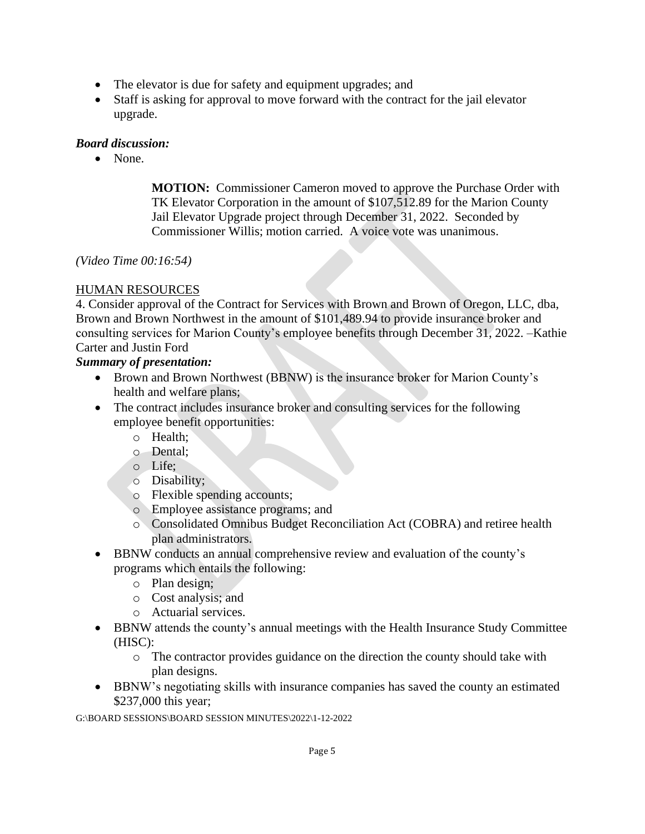- The elevator is due for safety and equipment upgrades; and
- Staff is asking for approval to move forward with the contract for the jail elevator upgrade.

• None.

**MOTION:** Commissioner Cameron moved to approve the Purchase Order with TK Elevator Corporation in the amount of \$107,512.89 for the Marion County Jail Elevator Upgrade project through December 31, 2022. Seconded by Commissioner Willis; motion carried. A voice vote was unanimous.

#### *(Video Time 00:16:54)*

#### HUMAN RESOURCES

4. Consider approval of the Contract for Services with Brown and Brown of Oregon, LLC, dba, Brown and Brown Northwest in the amount of \$101,489.94 to provide insurance broker and consulting services for Marion County's employee benefits through December 31, 2022. –Kathie Carter and Justin Ford

#### *Summary of presentation:*

- Brown and Brown Northwest (BBNW) is the insurance broker for Marion County's health and welfare plans;
- The contract includes insurance broker and consulting services for the following employee benefit opportunities:
	- o Health;
	- o Dental;
	- o Life;
	- o Disability;
	- o Flexible spending accounts;
	- o Employee assistance programs; and
	- o Consolidated Omnibus Budget Reconciliation Act (COBRA) and retiree health plan administrators.
- BBNW conducts an annual comprehensive review and evaluation of the county's programs which entails the following:
	- o Plan design;
	- o Cost analysis; and
	- o Actuarial services.
- BBNW attends the county's annual meetings with the Health Insurance Study Committee (HISC):
	- o The contractor provides guidance on the direction the county should take with plan designs.
- BBNW's negotiating skills with insurance companies has saved the county an estimated \$237,000 this year;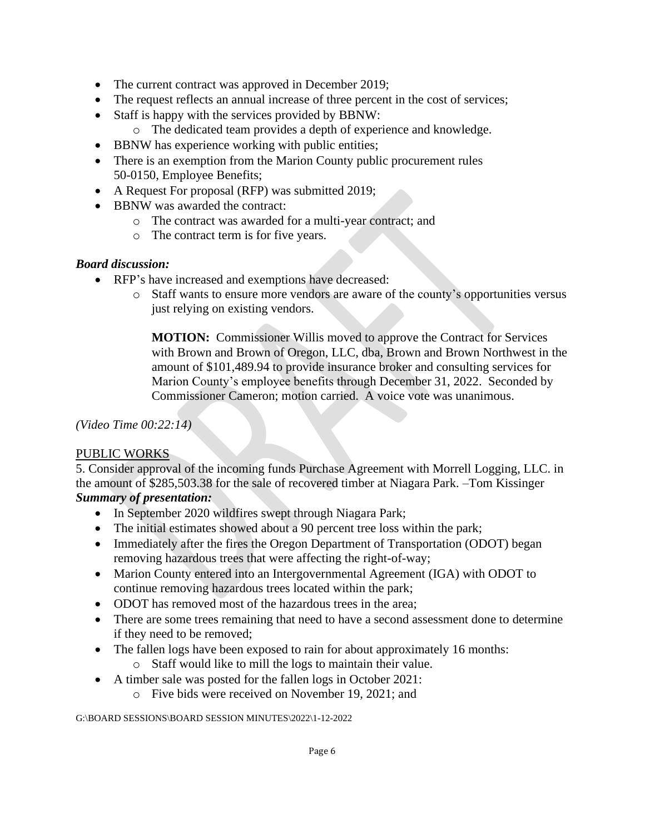- The current contract was approved in December 2019;
- The request reflects an annual increase of three percent in the cost of services;
- Staff is happy with the services provided by BBNW:
	- o The dedicated team provides a depth of experience and knowledge.
- BBNW has experience working with public entities;
- There is an exemption from the Marion County public procurement rules 50-0150, Employee Benefits;
- A Request For proposal (RFP) was submitted 2019;
- BBNW was awarded the contract:
	- o The contract was awarded for a multi-year contract; and
	- o The contract term is for five years.

- RFP's have increased and exemptions have decreased:
	- o Staff wants to ensure more vendors are aware of the county's opportunities versus just relying on existing vendors.

**MOTION:** Commissioner Willis moved to approve the Contract for Services with Brown and Brown of Oregon, LLC, dba, Brown and Brown Northwest in the amount of \$101,489.94 to provide insurance broker and consulting services for Marion County's employee benefits through December 31, 2022. Seconded by Commissioner Cameron; motion carried. A voice vote was unanimous.

*(Video Time 00:22:14)*

#### PUBLIC WORKS

5. Consider approval of the incoming funds Purchase Agreement with Morrell Logging, LLC. in the amount of \$285,503.38 for the sale of recovered timber at Niagara Park. –Tom Kissinger *Summary of presentation:* 

- In September 2020 wildfires swept through Niagara Park;
- The initial estimates showed about a 90 percent tree loss within the park;
- Immediately after the fires the Oregon Department of Transportation (ODOT) began removing hazardous trees that were affecting the right-of-way;
- Marion County entered into an Intergovernmental Agreement (IGA) with ODOT to continue removing hazardous trees located within the park;
- ODOT has removed most of the hazardous trees in the area:
- There are some trees remaining that need to have a second assessment done to determine if they need to be removed;
- The fallen logs have been exposed to rain for about approximately 16 months:
	- o Staff would like to mill the logs to maintain their value.
- A timber sale was posted for the fallen logs in October 2021:
	- o Five bids were received on November 19, 2021; and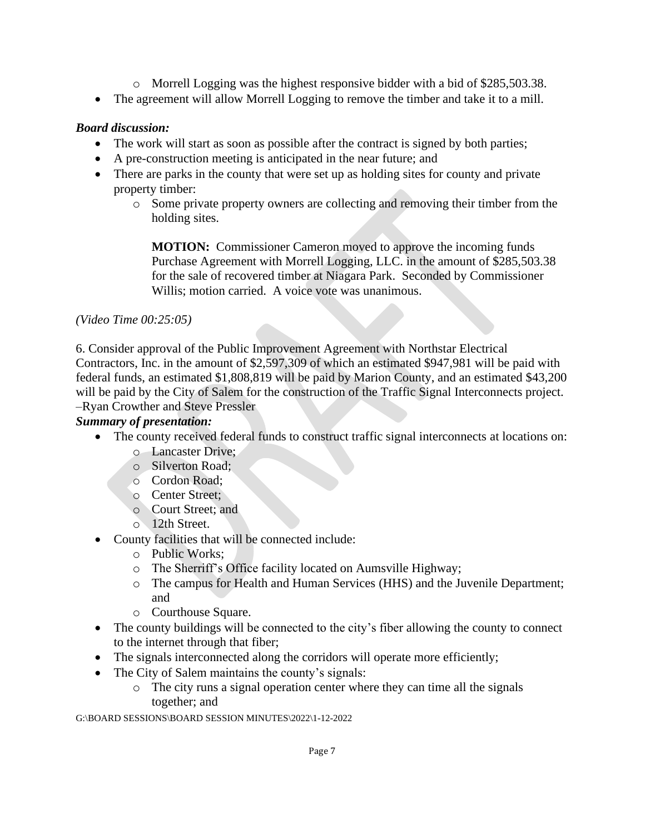- o Morrell Logging was the highest responsive bidder with a bid of \$285,503.38.
- The agreement will allow Morrell Logging to remove the timber and take it to a mill.

- The work will start as soon as possible after the contract is signed by both parties;
- A pre-construction meeting is anticipated in the near future; and
- There are parks in the county that were set up as holding sites for county and private property timber:
	- o Some private property owners are collecting and removing their timber from the holding sites.

**MOTION:** Commissioner Cameron moved to approve the incoming funds Purchase Agreement with Morrell Logging, LLC. in the amount of \$285,503.38 for the sale of recovered timber at Niagara Park. Seconded by Commissioner Willis; motion carried. A voice vote was unanimous.

#### *(Video Time 00:25:05)*

6. Consider approval of the Public Improvement Agreement with Northstar Electrical Contractors, Inc. in the amount of \$2,597,309 of which an estimated \$947,981 will be paid with federal funds, an estimated \$1,808,819 will be paid by Marion County, and an estimated \$43,200 will be paid by the City of Salem for the construction of the Traffic Signal Interconnects project. –Ryan Crowther and Steve Pressler

# *Summary of presentation:*

- The county received federal funds to construct traffic signal interconnects at locations on:
	- o Lancaster Drive;
	- o Silverton Road;
	- o Cordon Road;
	- o Center Street;
	- o Court Street; and
	- o 12th Street.
- County facilities that will be connected include:
	- o Public Works;
	- o The Sherriff's Office facility located on Aumsville Highway;
	- o The campus for Health and Human Services (HHS) and the Juvenile Department; and
	- o Courthouse Square.
- The county buildings will be connected to the city's fiber allowing the county to connect to the internet through that fiber;
- The signals interconnected along the corridors will operate more efficiently;
- The City of Salem maintains the county's signals:
	- o The city runs a signal operation center where they can time all the signals together; and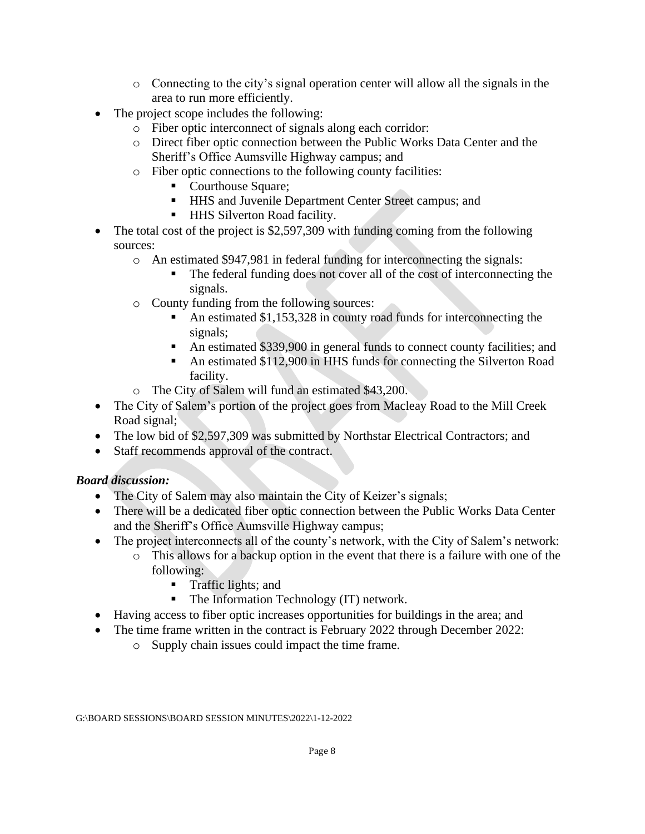- o Connecting to the city's signal operation center will allow all the signals in the area to run more efficiently.
- The project scope includes the following:
	- o Fiber optic interconnect of signals along each corridor:
	- o Direct fiber optic connection between the Public Works Data Center and the Sheriff's Office Aumsville Highway campus; and
	- o Fiber optic connections to the following county facilities:
		- Courthouse Square:
		- **.** HHS and Juvenile Department Center Street campus; and
		- **EXECUTE:** HHS Silverton Road facility.
- The total cost of the project is \$2,597,309 with funding coming from the following sources:
	- o An estimated \$947,981 in federal funding for interconnecting the signals:
		- The federal funding does not cover all of the cost of interconnecting the signals.
	- o County funding from the following sources:
		- An estimated  $$1,153,328$  in county road funds for interconnecting the signals;
		- An estimated \$339,900 in general funds to connect county facilities; and
		- An estimated \$112,900 in HHS funds for connecting the Silverton Road facility.
	- o The City of Salem will fund an estimated \$43,200.
- The City of Salem's portion of the project goes from Macleay Road to the Mill Creek Road signal;
- The low bid of \$2,597,309 was submitted by Northstar Electrical Contractors; and
- Staff recommends approval of the contract.

- The City of Salem may also maintain the City of Keizer's signals;
- There will be a dedicated fiber optic connection between the Public Works Data Center and the Sheriff's Office Aumsville Highway campus;
- The project interconnects all of the county's network, with the City of Salem's network:
	- o This allows for a backup option in the event that there is a failure with one of the following:
		- **Traffic lights; and**
		- The Information Technology (IT) network.
- Having access to fiber optic increases opportunities for buildings in the area; and
- The time frame written in the contract is February 2022 through December 2022:
	- o Supply chain issues could impact the time frame.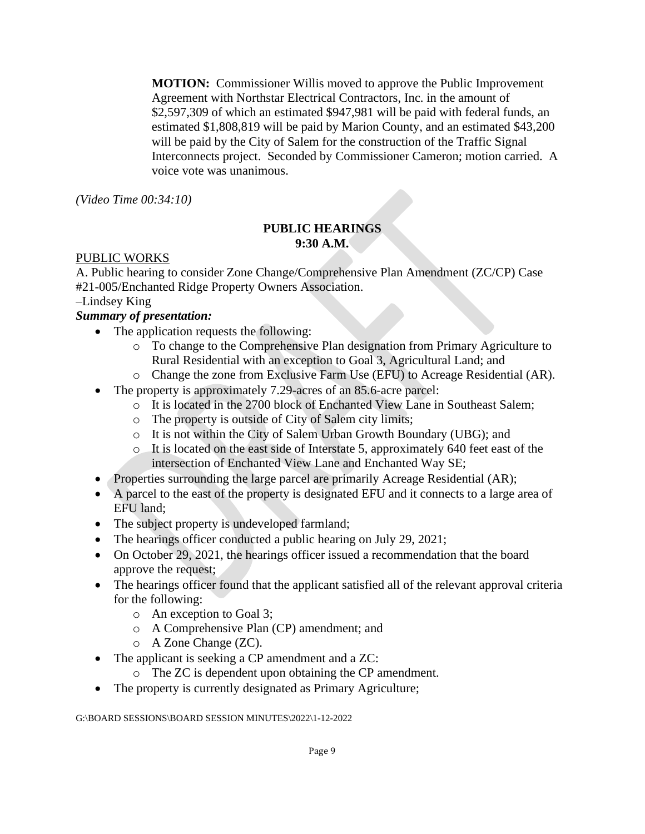**MOTION:** Commissioner Willis moved to approve the Public Improvement Agreement with Northstar Electrical Contractors, Inc. in the amount of \$2,597,309 of which an estimated \$947,981 will be paid with federal funds, an estimated \$1,808,819 will be paid by Marion County, and an estimated \$43,200 will be paid by the City of Salem for the construction of the Traffic Signal Interconnects project. Seconded by Commissioner Cameron; motion carried. A voice vote was unanimous.

*(Video Time 00:34:10)*

#### **PUBLIC HEARINGS 9:30 A.M.**

#### PUBLIC WORKS

A. Public hearing to consider Zone Change/Comprehensive Plan Amendment (ZC/CP) Case #21-005/Enchanted Ridge Property Owners Association.

### –Lindsey King

#### *Summary of presentation:*

- The application requests the following:
	- o To change to the Comprehensive Plan designation from Primary Agriculture to Rural Residential with an exception to Goal 3, Agricultural Land; and
	- o Change the zone from Exclusive Farm Use (EFU) to Acreage Residential (AR).
- The property is approximately 7.29-acres of an 85.6-acre parcel:
	- o It is located in the 2700 block of Enchanted View Lane in Southeast Salem;
	- o The property is outside of City of Salem city limits;
	- o It is not within the City of Salem Urban Growth Boundary (UBG); and
	- o It is located on the east side of Interstate 5, approximately 640 feet east of the intersection of Enchanted View Lane and Enchanted Way SE;
- Properties surrounding the large parcel are primarily Acreage Residential (AR);
- A parcel to the east of the property is designated EFU and it connects to a large area of EFU land;
- The subject property is undeveloped farmland;
- The hearings officer conducted a public hearing on July 29, 2021;
- On October 29, 2021, the hearings officer issued a recommendation that the board approve the request;
- The hearings officer found that the applicant satisfied all of the relevant approval criteria for the following:
	- o An exception to Goal 3;
	- o A Comprehensive Plan (CP) amendment; and
	- o A Zone Change (ZC).
- The applicant is seeking a CP amendment and a ZC:
	- o The ZC is dependent upon obtaining the CP amendment.
- The property is currently designated as Primary Agriculture;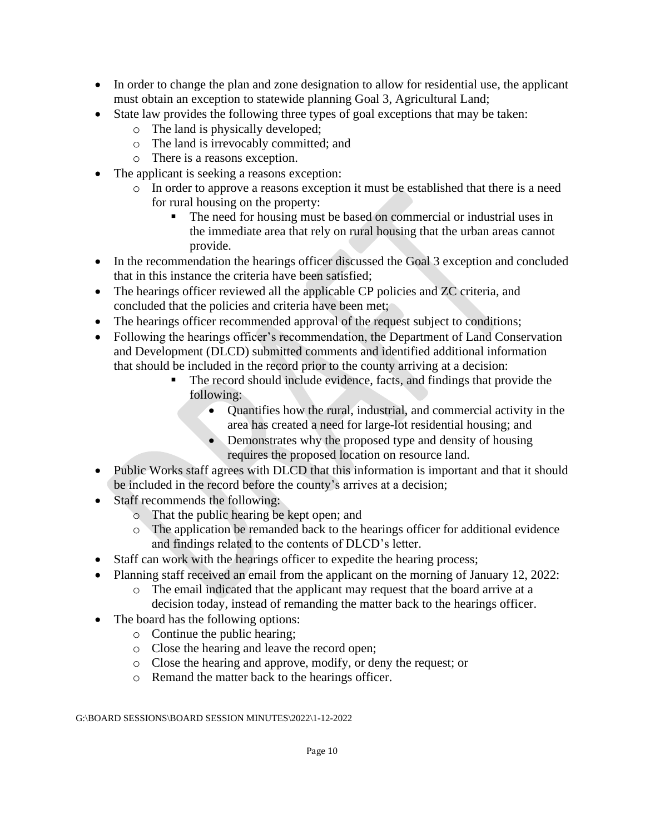- In order to change the plan and zone designation to allow for residential use, the applicant must obtain an exception to statewide planning Goal 3, Agricultural Land;
- State law provides the following three types of goal exceptions that may be taken:
	- o The land is physically developed;
	- o The land is irrevocably committed; and
	- o There is a reasons exception.
- The applicant is seeking a reasons exception:
	- o In order to approve a reasons exception it must be established that there is a need for rural housing on the property:
		- The need for housing must be based on commercial or industrial uses in the immediate area that rely on rural housing that the urban areas cannot provide.
- In the recommendation the hearings officer discussed the Goal 3 exception and concluded that in this instance the criteria have been satisfied;
- The hearings officer reviewed all the applicable CP policies and ZC criteria, and concluded that the policies and criteria have been met;
- The hearings officer recommended approval of the request subject to conditions;
- Following the hearings officer's recommendation, the Department of Land Conservation and Development (DLCD) submitted comments and identified additional information that should be included in the record prior to the county arriving at a decision:
	- The record should include evidence, facts, and findings that provide the following:
		- Quantifies how the rural, industrial, and commercial activity in the area has created a need for large-lot residential housing; and
		- Demonstrates why the proposed type and density of housing requires the proposed location on resource land.
- Public Works staff agrees with DLCD that this information is important and that it should be included in the record before the county's arrives at a decision;
- Staff recommends the following:
	- o That the public hearing be kept open; and
	- o The application be remanded back to the hearings officer for additional evidence and findings related to the contents of DLCD's letter.
- Staff can work with the hearings officer to expedite the hearing process;
- Planning staff received an email from the applicant on the morning of January 12, 2022:
	- o The email indicated that the applicant may request that the board arrive at a decision today, instead of remanding the matter back to the hearings officer.
- The board has the following options:
	- o Continue the public hearing;
	- o Close the hearing and leave the record open;
	- o Close the hearing and approve, modify, or deny the request; or
	- o Remand the matter back to the hearings officer.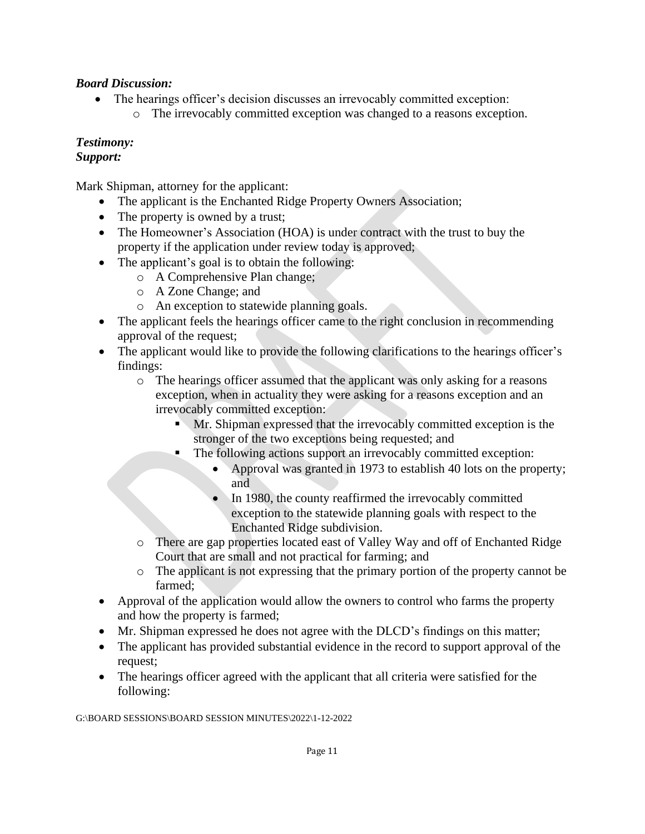- The hearings officer's decision discusses an irrevocably committed exception:
	- o The irrevocably committed exception was changed to a reasons exception.

# *Testimony:*

# *Support:*

Mark Shipman, attorney for the applicant:

- The applicant is the Enchanted Ridge Property Owners Association;
- The property is owned by a trust;
- The Homeowner's Association (HOA) is under contract with the trust to buy the property if the application under review today is approved;
- The applicant's goal is to obtain the following:
	- o A Comprehensive Plan change;
	- o A Zone Change; and
	- o An exception to statewide planning goals.
- The applicant feels the hearings officer came to the right conclusion in recommending approval of the request;
- The applicant would like to provide the following clarifications to the hearings officer's findings:
	- o The hearings officer assumed that the applicant was only asking for a reasons exception, when in actuality they were asking for a reasons exception and an irrevocably committed exception:
		- **Mr. Shipman expressed that the irrevocably committed exception is the** stronger of the two exceptions being requested; and
		- The following actions support an irrevocably committed exception:
			- Approval was granted in 1973 to establish 40 lots on the property; and
			- In 1980, the county reaffirmed the irrevocably committed exception to the statewide planning goals with respect to the Enchanted Ridge subdivision.
	- o There are gap properties located east of Valley Way and off of Enchanted Ridge Court that are small and not practical for farming; and
	- o The applicant is not expressing that the primary portion of the property cannot be farmed;
- Approval of the application would allow the owners to control who farms the property and how the property is farmed;
- Mr. Shipman expressed he does not agree with the DLCD's findings on this matter;
- The applicant has provided substantial evidence in the record to support approval of the request;
- The hearings officer agreed with the applicant that all criteria were satisfied for the following: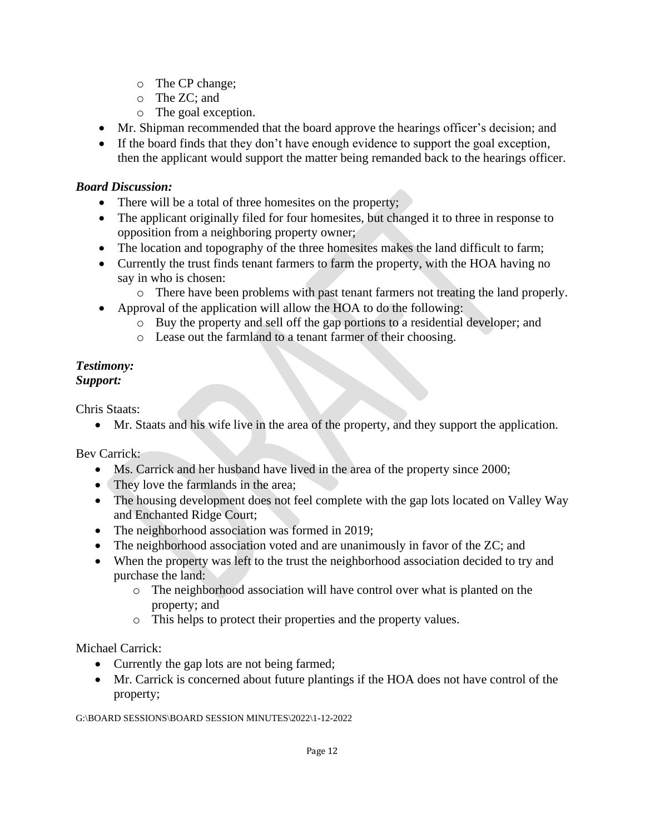- o The CP change;
- o The ZC; and
- o The goal exception.
- Mr. Shipman recommended that the board approve the hearings officer's decision; and
- If the board finds that they don't have enough evidence to support the goal exception, then the applicant would support the matter being remanded back to the hearings officer.

- There will be a total of three homesites on the property;
- The applicant originally filed for four homesites, but changed it to three in response to opposition from a neighboring property owner;
- The location and topography of the three homesites makes the land difficult to farm;
- Currently the trust finds tenant farmers to farm the property, with the HOA having no say in who is chosen:
	- o There have been problems with past tenant farmers not treating the land properly.
- Approval of the application will allow the HOA to do the following:
	- o Buy the property and sell off the gap portions to a residential developer; and
	- o Lease out the farmland to a tenant farmer of their choosing.

#### *Testimony: Support:*

Chris Staats:

• Mr. Staats and his wife live in the area of the property, and they support the application.

Bev Carrick:

- Ms. Carrick and her husband have lived in the area of the property since 2000;
- They love the farmlands in the area;
- The housing development does not feel complete with the gap lots located on Valley Way and Enchanted Ridge Court;
- The neighborhood association was formed in 2019;
- The neighborhood association voted and are unanimously in favor of the ZC; and
- When the property was left to the trust the neighborhood association decided to try and purchase the land:
	- o The neighborhood association will have control over what is planted on the property; and
	- o This helps to protect their properties and the property values.

Michael Carrick:

- Currently the gap lots are not being farmed;
- Mr. Carrick is concerned about future plantings if the HOA does not have control of the property;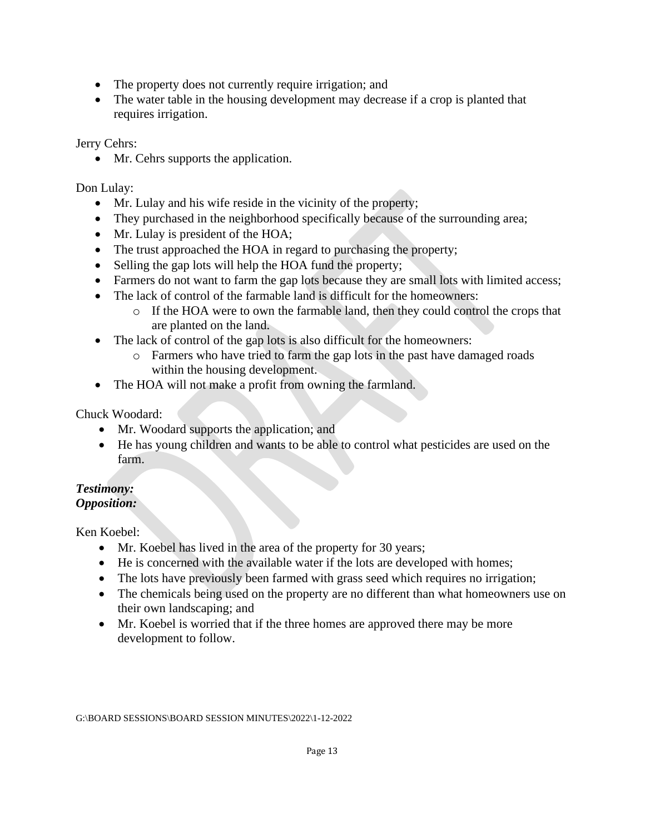- The property does not currently require irrigation; and
- The water table in the housing development may decrease if a crop is planted that requires irrigation.

Jerry Cehrs:

• Mr. Cehrs supports the application.

Don Lulay:

- Mr. Lulay and his wife reside in the vicinity of the property;
- They purchased in the neighborhood specifically because of the surrounding area;
- Mr. Lulay is president of the HOA;
- The trust approached the HOA in regard to purchasing the property;
- Selling the gap lots will help the HOA fund the property;
- Farmers do not want to farm the gap lots because they are small lots with limited access;
- The lack of control of the farmable land is difficult for the homeowners:
	- o If the HOA were to own the farmable land, then they could control the crops that are planted on the land.
- The lack of control of the gap lots is also difficult for the homeowners:
	- o Farmers who have tried to farm the gap lots in the past have damaged roads within the housing development.
- The HOA will not make a profit from owning the farmland.

Chuck Woodard:

- Mr. Woodard supports the application; and
- He has young children and wants to be able to control what pesticides are used on the farm.

#### *Testimony: Opposition:*

Ken Koebel:

- Mr. Koebel has lived in the area of the property for 30 years;
- He is concerned with the available water if the lots are developed with homes;
- The lots have previously been farmed with grass seed which requires no irrigation;
- The chemicals being used on the property are no different than what homeowners use on their own landscaping; and
- Mr. Koebel is worried that if the three homes are approved there may be more development to follow.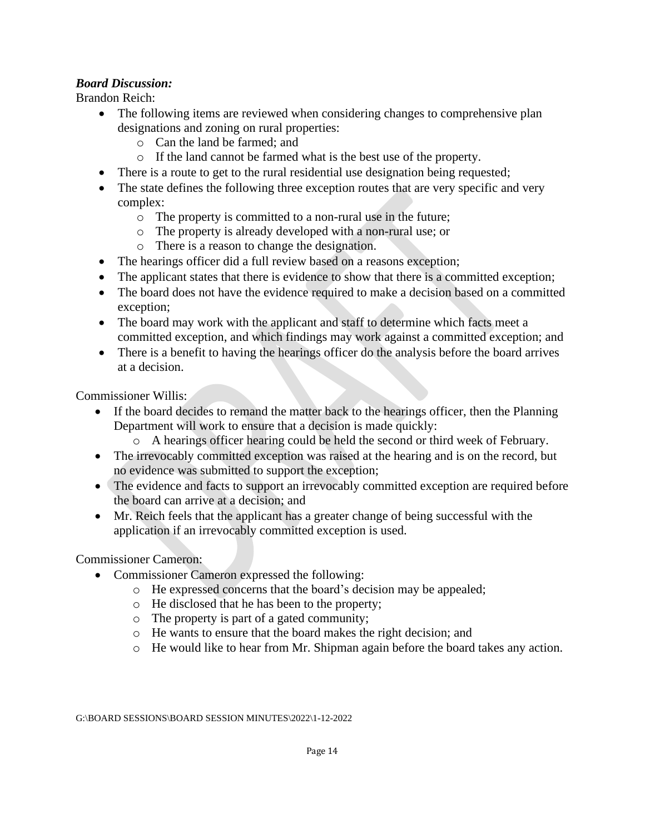Brandon Reich:

- The following items are reviewed when considering changes to comprehensive plan designations and zoning on rural properties:
	- o Can the land be farmed; and
	- o If the land cannot be farmed what is the best use of the property.
- There is a route to get to the rural residential use designation being requested;
- The state defines the following three exception routes that are very specific and very complex:
	- o The property is committed to a non-rural use in the future;
	- o The property is already developed with a non-rural use; or
	- o There is a reason to change the designation.
- The hearings officer did a full review based on a reasons exception;
- The applicant states that there is evidence to show that there is a committed exception;
- The board does not have the evidence required to make a decision based on a committed exception;
- The board may work with the applicant and staff to determine which facts meet a committed exception, and which findings may work against a committed exception; and
- There is a benefit to having the hearings officer do the analysis before the board arrives at a decision.

Commissioner Willis:

- If the board decides to remand the matter back to the hearings officer, then the Planning Department will work to ensure that a decision is made quickly:
	- o A hearings officer hearing could be held the second or third week of February.
- The irrevocably committed exception was raised at the hearing and is on the record, but no evidence was submitted to support the exception;
- The evidence and facts to support an irrevocably committed exception are required before the board can arrive at a decision; and
- Mr. Reich feels that the applicant has a greater change of being successful with the application if an irrevocably committed exception is used.

Commissioner Cameron:

- Commissioner Cameron expressed the following:
	- o He expressed concerns that the board's decision may be appealed;
	- o He disclosed that he has been to the property;
	- o The property is part of a gated community;
	- o He wants to ensure that the board makes the right decision; and
	- o He would like to hear from Mr. Shipman again before the board takes any action.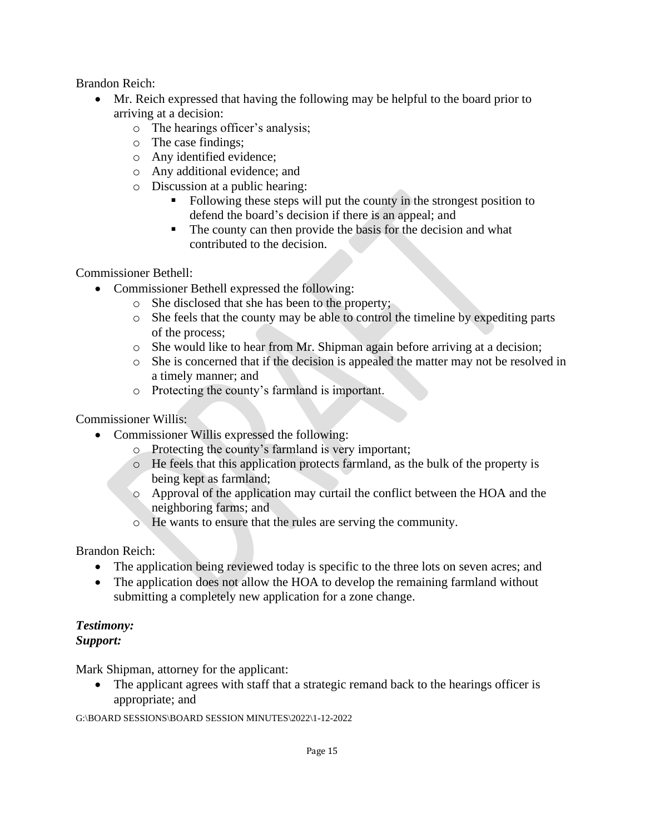Brandon Reich:

- Mr. Reich expressed that having the following may be helpful to the board prior to arriving at a decision:
	- o The hearings officer's analysis;
	- o The case findings;
	- o Any identified evidence;
	- o Any additional evidence; and
	- o Discussion at a public hearing:
		- Following these steps will put the county in the strongest position to defend the board's decision if there is an appeal; and
		- The county can then provide the basis for the decision and what contributed to the decision.

Commissioner Bethell:

- Commissioner Bethell expressed the following:
	- o She disclosed that she has been to the property;
	- o She feels that the county may be able to control the timeline by expediting parts of the process;
	- o She would like to hear from Mr. Shipman again before arriving at a decision;
	- o She is concerned that if the decision is appealed the matter may not be resolved in a timely manner; and
	- o Protecting the county's farmland is important.

Commissioner Willis:

- Commissioner Willis expressed the following:
	- o Protecting the county's farmland is very important;
	- o He feels that this application protects farmland, as the bulk of the property is being kept as farmland;
	- o Approval of the application may curtail the conflict between the HOA and the neighboring farms; and
	- o He wants to ensure that the rules are serving the community.

Brandon Reich:

- The application being reviewed today is specific to the three lots on seven acres; and
- The application does not allow the HOA to develop the remaining farmland without submitting a completely new application for a zone change.

#### *Testimony: Support:*

Mark Shipman, attorney for the applicant:

• The applicant agrees with staff that a strategic remand back to the hearings officer is appropriate; and